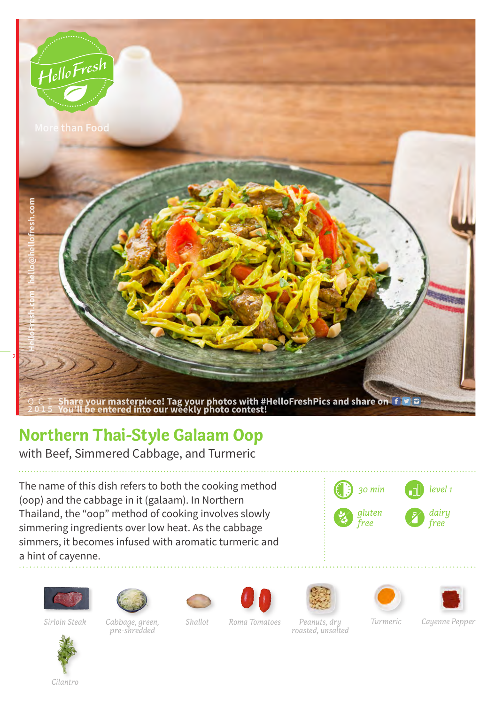

## **Northern Thai-Style Galaam Oop**

with Beef, Simmered Cabbage, and Turmeric

The name of this dish refers to both the cooking method (oop) and the cabbage in it (galaam). In Northern Thailand, the "oop" method of cooking involves slowly simmering ingredients over low heat. As the cabbage simmers, it becomes infused with aromatic turmeric and a hint of cayenne.

















*pre-shredded*

*Cabbage, green, Sirloin Steak Shallot Roma Tomatoes Turmeric Cayenne PepperPeanuts, dry roasted, unsalted*



*Cilantro*